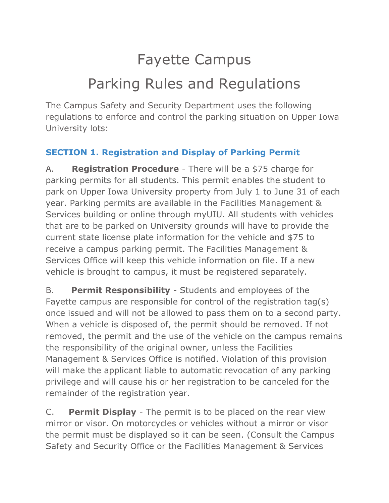# Fayette Campus Parking Rules and Regulations

The Campus Safety and Security Department uses the following regulations to enforce and control the parking situation on Upper Iowa University lots:

#### **SECTION 1. Registration and Display of Parking Permit**

A. **Registration Procedure** - There will be a \$75 charge for parking permits for all students. This permit enables the student to park on Upper Iowa University property from July 1 to June 31 of each year. Parking permits are available in the Facilities Management & Services building or online through myUIU. All students with vehicles that are to be parked on University grounds will have to provide the current state license plate information for the vehicle and \$75 to receive a campus parking permit. The Facilities Management & Services Office will keep this vehicle information on file. If a new vehicle is brought to campus, it must be registered separately.

B. **Permit Responsibility** - Students and employees of the Fayette campus are responsible for control of the registration tag(s) once issued and will not be allowed to pass them on to a second party. When a vehicle is disposed of, the permit should be removed. If not removed, the permit and the use of the vehicle on the campus remains the responsibility of the original owner, unless the Facilities Management & Services Office is notified. Violation of this provision will make the applicant liable to automatic revocation of any parking privilege and will cause his or her registration to be canceled for the remainder of the registration year.

C. **Permit Display** - The permit is to be placed on the rear view mirror or visor. On motorcycles or vehicles without a mirror or visor the permit must be displayed so it can be seen. (Consult the Campus Safety and Security Office or the Facilities Management & Services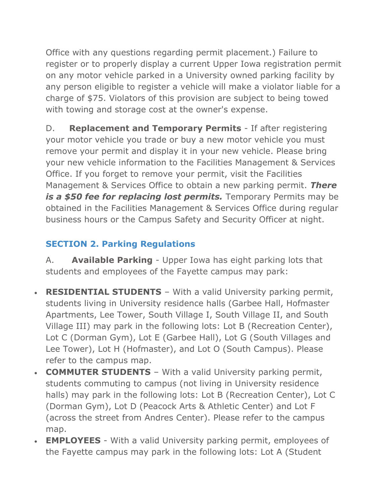Office with any questions regarding permit placement.) Failure to register or to properly display a current Upper Iowa registration permit on any motor vehicle parked in a University owned parking facility by any person eligible to register a vehicle will make a violator liable for a charge of \$75. Violators of this provision are subject to being towed with towing and storage cost at the owner's expense.

D. **Replacement and Temporary Permits** - If after registering your motor vehicle you trade or buy a new motor vehicle you must remove your permit and display it in your new vehicle. Please bring your new vehicle information to the Facilities Management & Services Office. If you forget to remove your permit, visit the Facilities Management & Services Office to obtain a new parking permit. *There is a \$50 fee for replacing lost permits.* Temporary Permits may be obtained in the Facilities Management & Services Office during regular business hours or the Campus Safety and Security Officer at night.

### **SECTION 2. Parking Regulations**

A. **Available Parking** - Upper Iowa has eight parking lots that students and employees of the Fayette campus may park:

- **RESIDENTIAL STUDENTS** With a valid University parking permit, students living in University residence halls (Garbee Hall, Hofmaster Apartments, Lee Tower, South Village I, South Village II, and South Village III) may park in the following lots: Lot B (Recreation Center), Lot C (Dorman Gym), Lot E (Garbee Hall), Lot G (South Villages and Lee Tower), Lot H (Hofmaster), and Lot O (South Campus). Please refer to the campus map.
- **COMMUTER STUDENTS** With a valid University parking permit, students commuting to campus (not living in University residence halls) may park in the following lots: Lot B (Recreation Center), Lot C (Dorman Gym), Lot D (Peacock Arts & Athletic Center) and Lot F (across the street from Andres Center). Please refer to the campus map.
- **EMPLOYEES** With a valid University parking permit, employees of the Fayette campus may park in the following lots: Lot A (Student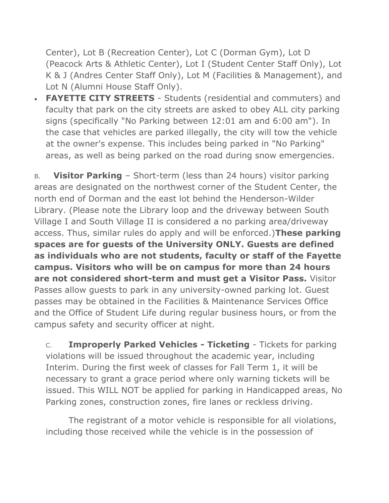Center), Lot B (Recreation Center), Lot C (Dorman Gym), Lot D (Peacock Arts & Athletic Center), Lot I (Student Center Staff Only), Lot K & J (Andres Center Staff Only), Lot M (Facilities & Management), and Lot N (Alumni House Staff Only).

 **FAYETTE CITY STREETS** - Students (residential and commuters) and faculty that park on the city streets are asked to obey ALL city parking signs (specifically "No Parking between 12:01 am and 6:00 am"). In the case that vehicles are parked illegally, the city will tow the vehicle at the owner's expense. This includes being parked in "No Parking" areas, as well as being parked on the road during snow emergencies.

B. **Visitor Parking** – Short-term (less than 24 hours) visitor parking areas are designated on the northwest corner of the Student Center, the north end of Dorman and the east lot behind the Henderson-Wilder Library. (Please note the Library loop and the driveway between South Village I and South Village II is considered a no parking area/driveway access. Thus, similar rules do apply and will be enforced.)**These parking spaces are for guests of the University ONLY. Guests are defined as individuals who are not students, faculty or staff of the Fayette campus. Visitors who will be on campus for more than 24 hours are not considered short-term and must get a Visitor Pass.** Visitor Passes allow guests to park in any university-owned parking lot. Guest passes may be obtained in the Facilities & Maintenance Services Office and the Office of Student Life during regular business hours, or from the campus safety and security officer at night.

C. **Improperly Parked Vehicles - Ticketing** - Tickets for parking violations will be issued throughout the academic year, including Interim. During the first week of classes for Fall Term 1, it will be necessary to grant a grace period where only warning tickets will be issued. This WILL NOT be applied for parking in Handicapped areas, No Parking zones, construction zones, fire lanes or reckless driving.

The registrant of a motor vehicle is responsible for all violations, including those received while the vehicle is in the possession of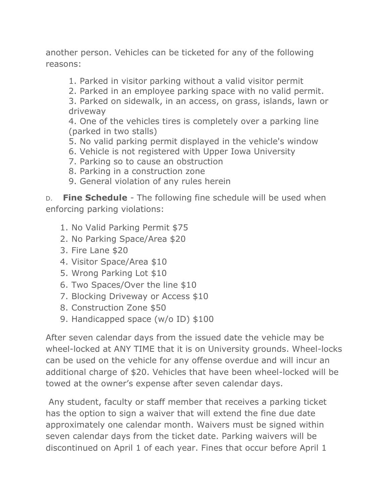another person. Vehicles can be ticketed for any of the following reasons:

- 1. Parked in visitor parking without a valid visitor permit
- 2. Parked in an employee parking space with no valid permit.

3. Parked on sidewalk, in an access, on grass, islands, lawn or driveway

4. One of the vehicles tires is completely over a parking line (parked in two stalls)

- 5. No valid parking permit displayed in the vehicle's window
- 6. Vehicle is not registered with Upper Iowa University
- 7. Parking so to cause an obstruction
- 8. Parking in a construction zone
- 9. General violation of any rules herein

D. **Fine Schedule** - The following fine schedule will be used when enforcing parking violations:

- 1. No Valid Parking Permit \$75
- 2. No Parking Space/Area \$20
- 3. Fire Lane \$20
- 4. Visitor Space/Area \$10
- 5. Wrong Parking Lot \$10
- 6. Two Spaces/Over the line \$10
- 7. Blocking Driveway or Access \$10
- 8. Construction Zone \$50
- 9. Handicapped space (w/o ID) \$100

After seven calendar days from the issued date the vehicle may be wheel-locked at ANY TIME that it is on University grounds. Wheel-locks can be used on the vehicle for any offense overdue and will incur an additional charge of \$20. Vehicles that have been wheel-locked will be towed at the owner's expense after seven calendar days.

Any student, faculty or staff member that receives a parking ticket has the option to sign a waiver that will extend the fine due date approximately one calendar month. Waivers must be signed within seven calendar days from the ticket date. Parking waivers will be discontinued on April 1 of each year. Fines that occur before April 1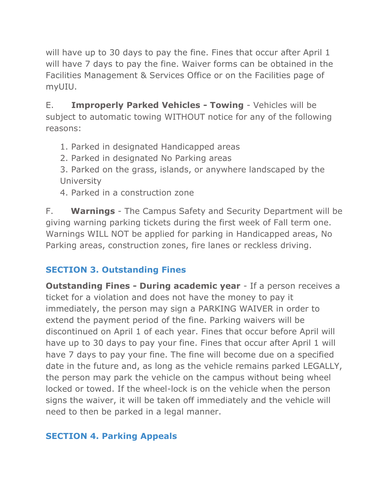will have up to 30 days to pay the fine. Fines that occur after April 1 will have 7 days to pay the fine. Waiver forms can be obtained in the Facilities Management & Services Office or on the Facilities page of myUIU.

E. **Improperly Parked Vehicles - Towing** - Vehicles will be subject to automatic towing WITHOUT notice for any of the following reasons:

1. Parked in designated Handicapped areas

2. Parked in designated No Parking areas

3. Parked on the grass, islands, or anywhere landscaped by the **University** 

4. Parked in a construction zone

F. **Warnings** - The Campus Safety and Security Department will be giving warning parking tickets during the first week of Fall term one. Warnings WILL NOT be applied for parking in Handicapped areas, No Parking areas, construction zones, fire lanes or reckless driving.

#### **SECTION 3. Outstanding Fines**

**Outstanding Fines - During academic year** - If a person receives a ticket for a violation and does not have the money to pay it immediately, the person may sign a PARKING WAIVER in order to extend the payment period of the fine. Parking waivers will be discontinued on April 1 of each year. Fines that occur before April will have up to 30 days to pay your fine. Fines that occur after April 1 will have 7 days to pay your fine. The fine will become due on a specified date in the future and, as long as the vehicle remains parked LEGALLY, the person may park the vehicle on the campus without being wheel locked or towed. If the wheel-lock is on the vehicle when the person signs the waiver, it will be taken off immediately and the vehicle will need to then be parked in a legal manner.

#### **SECTION 4. Parking Appeals**